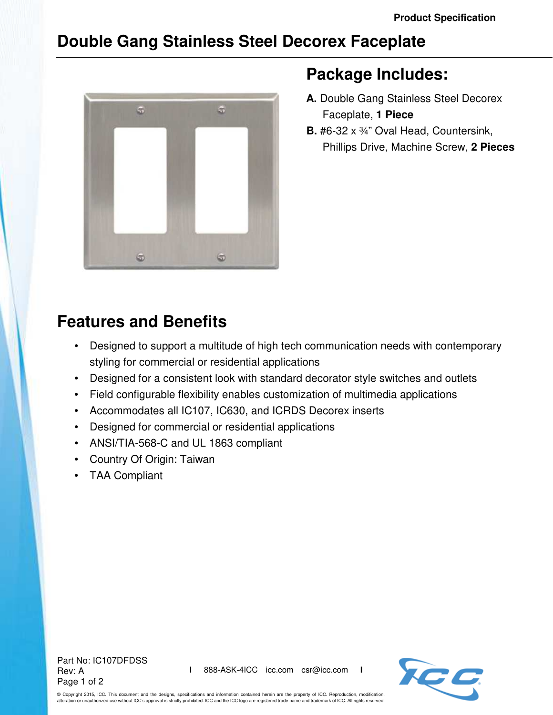## **Double Gang Stainless Steel Decorex Faceplate**



## **Package Includes:**

- **A.** Double Gang Stainless Steel Decorex Faceplate, **1 Piece**
- **B.** #6-32 x ¾" Oval Head, Countersink, Phillips Drive, Machine Screw, **2 Pieces**

## **Features and Benefits**

- Designed to support a multitude of high tech communication needs with contemporary styling for commercial or residential applications
- Designed for a consistent look with standard decorator style switches and outlets
- Field configurable flexibility enables customization of multimedia applications
- Accommodates all IC107, IC630, and ICRDS Decorex inserts
- Designed for commercial or residential applications
- ANSI/TIA-568-C and UL 1863 compliant
- Country Of Origin: Taiwan
- TAA Compliant

Part No: IC107DFDSS Rev: A Page 1 of 2



© Copyright 2015, ICC. This document and the designs, specifications and information contained herein are the property of ICC. Reproduction, modification, alteration or unauthorized use without ICC's approval is strictly prohibited. ICC and the ICC logo are registered trade name and trademark of ICC. All rights reserved.